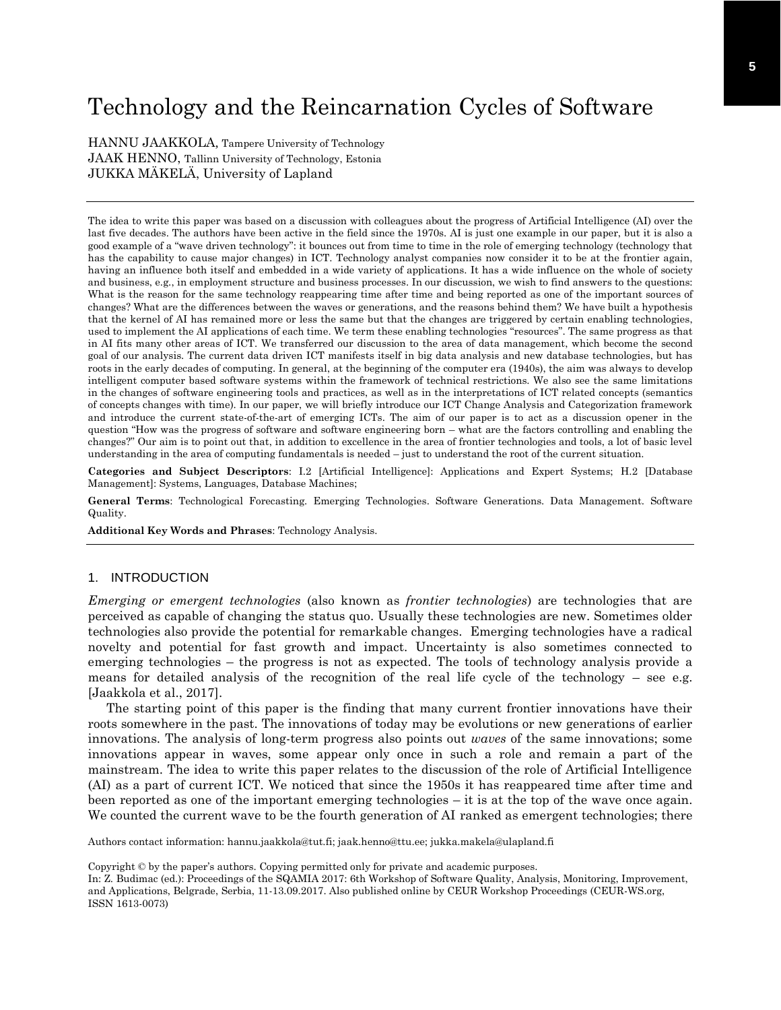# Technology and the Reincarnation Cycles of Software

HANNU JAAKKOLA, Tampere University of Technology JAAK HENNO, Tallinn University of Technology, Estonia JUKKA MÄKELÄ, University of Lapland

The idea to write this paper was based on a discussion with colleagues about the progress of Artificial Intelligence (AI) over the last five decades. The authors have been active in the field since the 1970s. AI is just one example in our paper, but it is also a good example of a "wave driven technology": it bounces out from time to time in the role of emerging technology (technology that has the capability to cause major changes) in ICT. Technology analyst companies now consider it to be at the frontier again, having an influence both itself and embedded in a wide variety of applications. It has a wide influence on the whole of society and business, e.g., in employment structure and business processes. In our discussion, we wish to find answers to the questions: What is the reason for the same technology reappearing time after time and being reported as one of the important sources of changes? What are the differences between the waves or generations, and the reasons behind them? We have built a hypothesis that the kernel of AI has remained more or less the same but that the changes are triggered by certain enabling technologies, used to implement the AI applications of each time. We term these enabling technologies "resources". The same progress as that in AI fits many other areas of ICT. We transferred our discussion to the area of data management, which become the second goal of our analysis. The current data driven ICT manifests itself in big data analysis and new database technologies, but has roots in the early decades of computing. In general, at the beginning of the computer era (1940s), the aim was always to develop intelligent computer based software systems within the framework of technical restrictions. We also see the same limitations in the changes of software engineering tools and practices, as well as in the interpretations of ICT related concepts (semantics of concepts changes with time). In our paper, we will briefly introduce our ICT Change Analysis and Categorization framework and introduce the current state-of-the-art of emerging ICTs. The aim of our paper is to act as a discussion opener in the question "How was the progress of software and software engineering born – what are the factors controlling and enabling the changes?" Our aim is to point out that, in addition to excellence in the area of frontier technologies and tools, a lot of basic level understanding in the area of computing fundamentals is needed – just to understand the root of the current situation.

**Categories and Subject Descriptors**: I.2 [Artificial Intelligence]: Applications and Expert Systems; H.2 [Database Management]: Systems, Languages, Database Machines;

**General Terms**: Technological Forecasting. Emerging Technologies. Software Generations. Data Management. Software Quality.

**Additional Key Words and Phrases**: Technology Analysis.

### 1. INTRODUCTION

*Emerging or emergent technologies* (also known as *frontier technologies*) are technologies that are perceived as capable of changing the status quo. Usually these technologies are new. Sometimes older technologies also provide the potential for remarkable changes. Emerging technologies have a radical novelty and potential for fast growth and impact. Uncertainty is also sometimes connected to emerging technologies – the progress is not as expected. The tools of technology analysis provide a means for detailed analysis of the recognition of the real life cycle of the technology – see e.g. [Jaakkola et al., 2017].

The starting point of this paper is the finding that many current frontier innovations have their roots somewhere in the past. The innovations of today may be evolutions or new generations of earlier innovations. The analysis of long-term progress also points out *waves* of the same innovations; some innovations appear in waves, some appear only once in such a role and remain a part of the mainstream. The idea to write this paper relates to the discussion of the role of Artificial Intelligence (AI) as a part of current ICT. We noticed that since the 1950s it has reappeared time after time and been reported as one of the important emerging technologies – it is at the top of the wave once again. We counted the current wave to be the fourth generation of AI ranked as emergent technologies; there

Authors contact information: hannu.jaakkola@tut.fi; jaak.henno@ttu.ee; jukka.makela@ulapland.fi

Copyright © by the paper's authors. Copying permitted only for private and academic purposes.

In: Z. Budimac (ed.): Proceedings of the SQAMIA 2017: 6th Workshop of Software Quality, Analysis, Monitoring, Improvement, and Applications, Belgrade, Serbia, 11-13.09.2017. Also published online by CEUR Workshop Proceedings (CEUR-WS.org, ISSN 1613-0073)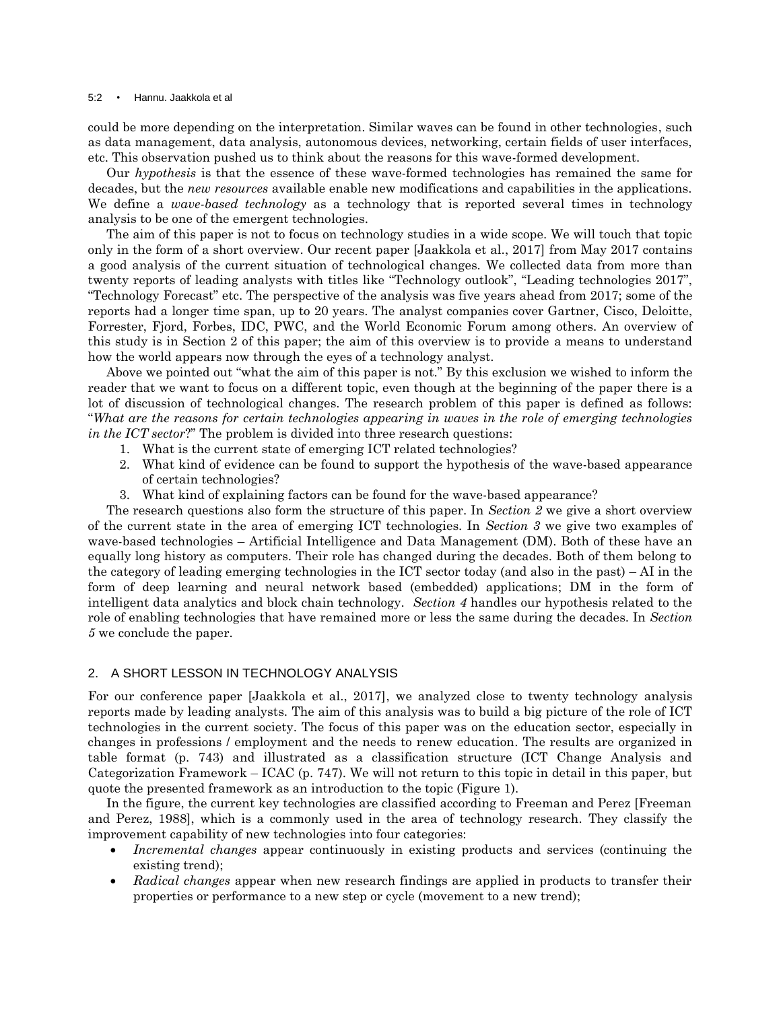#### 5:2 • Hannu. Jaakkola et al

could be more depending on the interpretation. Similar waves can be found in other technologies, such as data management, data analysis, autonomous devices, networking, certain fields of user interfaces, etc. This observation pushed us to think about the reasons for this wave-formed development.

Our *hypothesis* is that the essence of these wave-formed technologies has remained the same for decades, but the *new resources* available enable new modifications and capabilities in the applications. We define a *wave-based technology* as a technology that is reported several times in technology analysis to be one of the emergent technologies.

The aim of this paper is not to focus on technology studies in a wide scope. We will touch that topic only in the form of a short overview. Our recent paper [Jaakkola et al., 2017] from May 2017 contains a good analysis of the current situation of technological changes. We collected data from more than twenty reports of leading analysts with titles like "Technology outlook", "Leading technologies 2017", "Technology Forecast" etc. The perspective of the analysis was five years ahead from 2017; some of the reports had a longer time span, up to 20 years. The analyst companies cover Gartner, Cisco, Deloitte, Forrester, Fjord, Forbes, IDC, PWC, and the World Economic Forum among others. An overview of this study is in Section 2 of this paper; the aim of this overview is to provide a means to understand how the world appears now through the eyes of a technology analyst.

Above we pointed out "what the aim of this paper is not." By this exclusion we wished to inform the reader that we want to focus on a different topic, even though at the beginning of the paper there is a lot of discussion of technological changes. The research problem of this paper is defined as follows: "*What are the reasons for certain technologies appearing in waves in the role of emerging technologies in the ICT sector*?" The problem is divided into three research questions:

- 1. What is the current state of emerging ICT related technologies?
- 2. What kind of evidence can be found to support the hypothesis of the wave-based appearance of certain technologies?
- 3. What kind of explaining factors can be found for the wave-based appearance?

The research questions also form the structure of this paper. In *Section 2* we give a short overview of the current state in the area of emerging ICT technologies. In *Section 3* we give two examples of wave-based technologies – Artificial Intelligence and Data Management (DM). Both of these have an equally long history as computers. Their role has changed during the decades. Both of them belong to the category of leading emerging technologies in the ICT sector today (and also in the past) – AI in the form of deep learning and neural network based (embedded) applications; DM in the form of intelligent data analytics and block chain technology. *Section 4* handles our hypothesis related to the role of enabling technologies that have remained more or less the same during the decades. In *Section 5* we conclude the paper.

## 2. A SHORT LESSON IN TECHNOLOGY ANALYSIS

For our conference paper [Jaakkola et al., 2017], we analyzed close to twenty technology analysis reports made by leading analysts. The aim of this analysis was to build a big picture of the role of ICT technologies in the current society. The focus of this paper was on the education sector, especially in changes in professions / employment and the needs to renew education. The results are organized in table format (p. 743) and illustrated as a classification structure (ICT Change Analysis and Categorization Framework – ICAC (p. 747). We will not return to this topic in detail in this paper, but quote the presented framework as an introduction to the topic (Figure 1).

In the figure, the current key technologies are classified according to Freeman and Perez [Freeman and Perez, 1988], which is a commonly used in the area of technology research. They classify the improvement capability of new technologies into four categories:

- *Incremental changes* appear continuously in existing products and services (continuing the existing trend);
- *Radical changes* appear when new research findings are applied in products to transfer their properties or performance to a new step or cycle (movement to a new trend);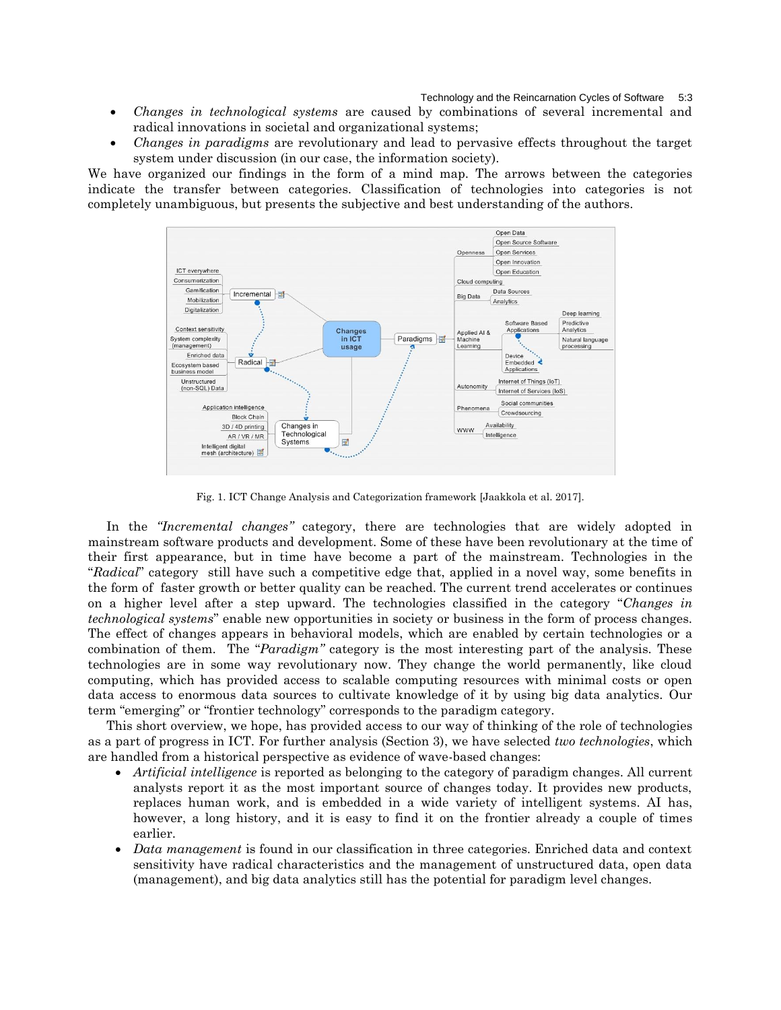Technology and the Reincarnation Cycles of Software 5:3

- *Changes in technological systems* are caused by combinations of several incremental and radical innovations in societal and organizational systems;
- *Changes in paradigms* are revolutionary and lead to pervasive effects throughout the target system under discussion (in our case, the information society).

We have organized our findings in the form of a mind map. The arrows between the categories indicate the transfer between categories. Classification of technologies into categories is not completely unambiguous, but presents the subjective and best understanding of the authors.



Fig. 1. ICT Change Analysis and Categorization framework [Jaakkola et al. 2017].

In the *"Incremental changes"* category, there are technologies that are widely adopted in mainstream software products and development. Some of these have been revolutionary at the time of their first appearance, but in time have become a part of the mainstream. Technologies in the "*Radical*" category still have such a competitive edge that, applied in a novel way, some benefits in the form of faster growth or better quality can be reached. The current trend accelerates or continues on a higher level after a step upward. The technologies classified in the category "*Changes in technological systems*" enable new opportunities in society or business in the form of process changes. The effect of changes appears in behavioral models, which are enabled by certain technologies or a combination of them. The "*Paradigm"* category is the most interesting part of the analysis. These technologies are in some way revolutionary now. They change the world permanently, like cloud computing, which has provided access to scalable computing resources with minimal costs or open data access to enormous data sources to cultivate knowledge of it by using big data analytics. Our term "emerging" or "frontier technology" corresponds to the paradigm category.

This short overview, we hope, has provided access to our way of thinking of the role of technologies as a part of progress in ICT. For further analysis (Section 3), we have selected *two technologies*, which are handled from a historical perspective as evidence of wave-based changes:

- *Artificial intelligence* is reported as belonging to the category of paradigm changes. All current analysts report it as the most important source of changes today. It provides new products, replaces human work, and is embedded in a wide variety of intelligent systems. AI has, however, a long history, and it is easy to find it on the frontier already a couple of times earlier.
- *Data management* is found in our classification in three categories. Enriched data and context sensitivity have radical characteristics and the management of unstructured data, open data (management), and big data analytics still has the potential for paradigm level changes.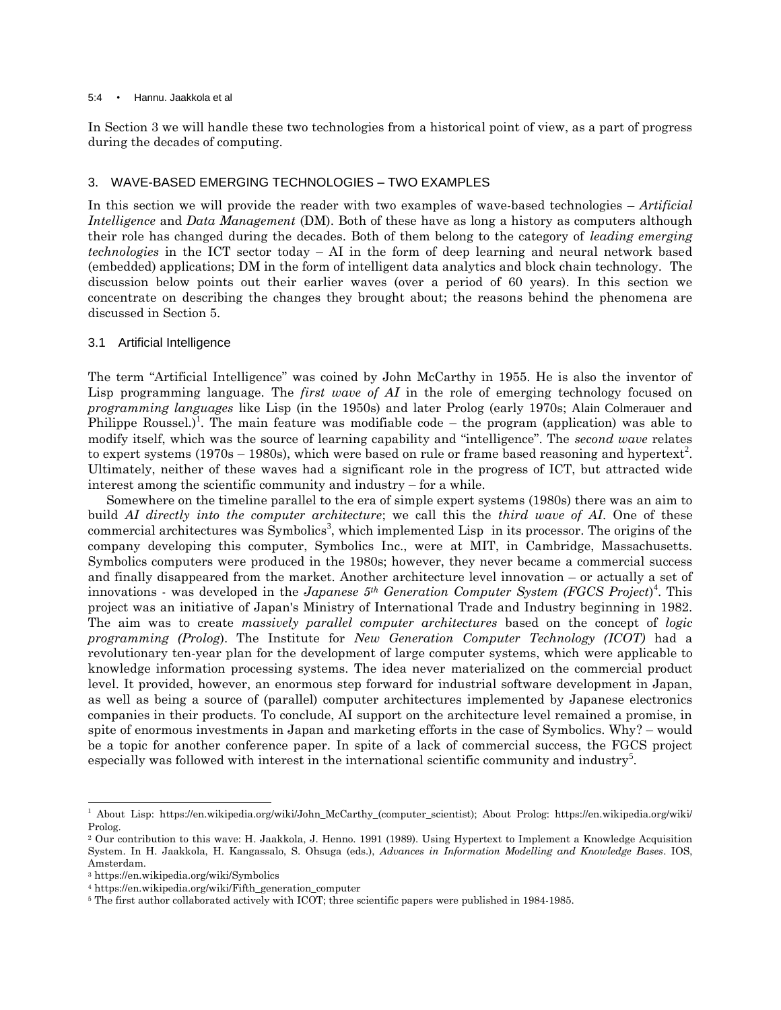#### 5:4 • Hannu. Jaakkola et al

In Section 3 we will handle these two technologies from a historical point of view, as a part of progress during the decades of computing.

## 3. WAVE-BASED EMERGING TECHNOLOGIES – TWO EXAMPLES

In this section we will provide the reader with two examples of wave-based technologies – *Artificial Intelligence* and *Data Management* (DM). Both of these have as long a history as computers although their role has changed during the decades. Both of them belong to the category of *leading emerging technologies* in the ICT sector today – AI in the form of deep learning and neural network based (embedded) applications; DM in the form of intelligent data analytics and block chain technology. The discussion below points out their earlier waves (over a period of 60 years). In this section we concentrate on describing the changes they brought about; the reasons behind the phenomena are discussed in Section 5.

## 3.1 Artificial Intelligence

The term "Artificial Intelligence" was coined by John McCarthy in 1955. He is also the inventor of Lisp programming language. The *first wave of AI* in the role of emerging technology focused on *programming languages* like Lisp (in the 1950s) and later Prolog (early 1970s; Alain Colmerauer and Philippe Roussel.)<sup>1</sup>. The main feature was modifiable code – the program (application) was able to modify itself, which was the source of learning capability and "intelligence". The *second wave* relates to expert systems (1970s – 1980s), which were based on rule or frame based reasoning and hypertext<sup>2</sup>. Ultimately, neither of these waves had a significant role in the progress of ICT, but attracted wide interest among the scientific community and industry – for a while.

Somewhere on the timeline parallel to the era of simple expert systems (1980s) there was an aim to build *AI directly into the computer architecture*; we call this the *third wave of AI*. One of these commercial architectures was Symbolics<sup>3</sup>, which implemented Lisp in its processor. The origins of the company developing this computer, Symbolics Inc., were at MIT, in Cambridge, Massachusetts. Symbolics computers were produced in the 1980s; however, they never became a commercial success and finally disappeared from the market. Another architecture level innovation – or actually a set of innovations - was developed in the *Japanese 5th Generation Computer System (FGCS Project*) 4 . This project was an initiative of Japan's Ministry of International Trade and Industry beginning in 1982. The aim was to create *massively parallel computer architectures* based on the concept of *logic programming (Prolog*). The Institute for *New Generation Computer Technology (ICOT)* had a revolutionary ten-year plan for the development of large computer systems, which were applicable to knowledge information processing systems. The idea never materialized on the commercial product level. It provided, however, an enormous step forward for industrial software development in Japan, as well as being a source of (parallel) computer architectures implemented by Japanese electronics companies in their products. To conclude, AI support on the architecture level remained a promise, in spite of enormous investments in Japan and marketing efforts in the case of Symbolics. Why? – would be a topic for another conference paper. In spite of a lack of commercial success, the FGCS project especially was followed with interest in the international scientific community and industry<sup>5</sup>.

<sup>1</sup> About Lisp: https://en.wikipedia.org/wiki/John\_McCarthy\_(computer\_scientist); About Prolog: https://en.wikipedia.org/wiki/ Prolog.

<sup>2</sup> Our contribution to this wave: H. Jaakkola, J. Henno. 1991 (1989). Using Hypertext to Implement a Knowledge Acquisition System. In H. Jaakkola, H. Kangassalo, S. Ohsuga (eds.), *Advances in Information Modelling and Knowledge Bases*. IOS, Amsterdam.

<sup>3</sup> https://en.wikipedia.org/wiki/Symbolics

<sup>4</sup> https://en.wikipedia.org/wiki/Fifth\_generation\_computer

<sup>5</sup> The first author collaborated actively with ICOT; three scientific papers were published in 1984-1985.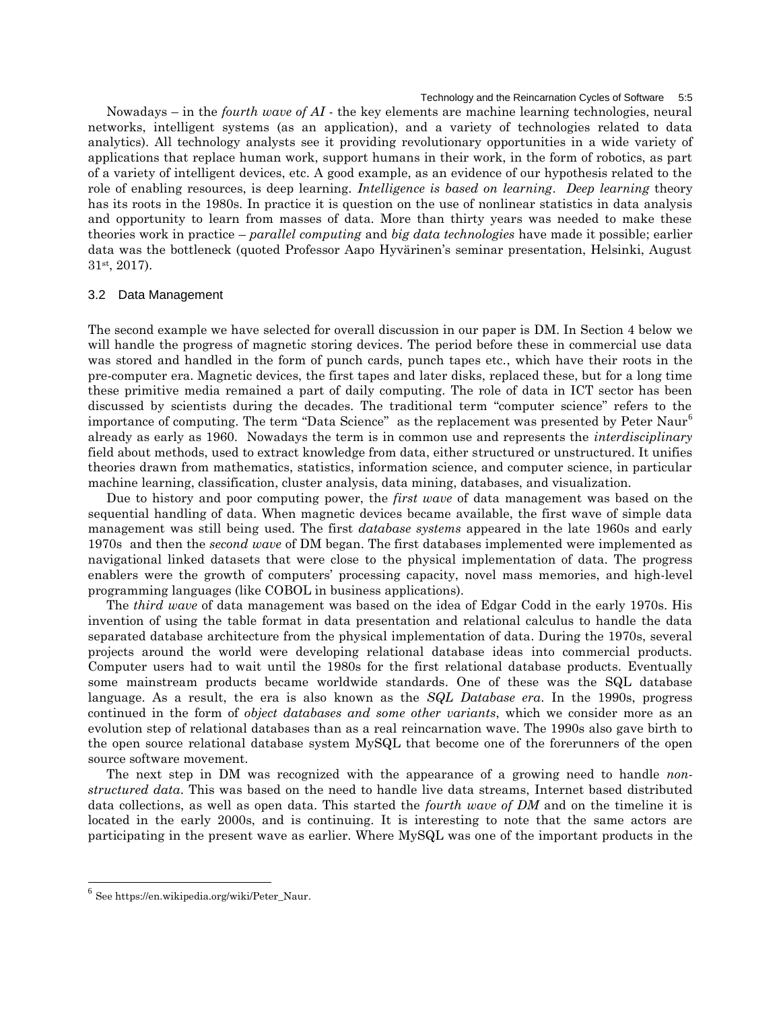Technology and the Reincarnation Cycles of Software

Nowadays – in the *fourth wave of AI* - the key elements are machine learning technologies, neural networks, intelligent systems (as an application), and a variety of technologies related to data analytics). All technology analysts see it providing revolutionary opportunities in a wide variety of applications that replace human work, support humans in their work, in the form of robotics, as part of a variety of intelligent devices, etc. A good example, as an evidence of our hypothesis related to the role of enabling resources, is deep learning. *Intelligence is based on learning*. *Deep learning* theory has its roots in the 1980s. In practice it is question on the use of nonlinear statistics in data analysis and opportunity to learn from masses of data. More than thirty years was needed to make these theories work in practice – *parallel computing* and *big data technologies* have made it possible; earlier data was the bottleneck (quoted Professor Aapo Hyvärinen's seminar presentation, Helsinki, August 31st, 2017).

## 3.2 Data Management

The second example we have selected for overall discussion in our paper is DM. In Section 4 below we will handle the progress of magnetic storing devices. The period before these in commercial use data was stored and handled in the form of punch cards, punch tapes etc., which have their roots in the pre-computer era. Magnetic devices, the first tapes and later disks, replaced these, but for a long time these primitive media remained a part of daily computing. The role of data in ICT sector has been discussed by scientists during the decades. The traditional term "computer science" refers to the importance of computing. The term "Data Science" as the replacement was presented by Peter Naur<sup>6</sup> already as early as 1960. Nowadays the term is in common use and represents the *interdisciplinary* field about methods, used to extract knowledge from data, either structured or unstructured. It unifies theories drawn from mathematics, statistics, information science, and computer science, in particular machine learning, classification, cluster analysis, data mining, databases, and visualization.

Due to history and poor computing power, the *first wave* of data management was based on the sequential handling of data. When magnetic devices became available, the first wave of simple data management was still being used. The first *database systems* appeared in the late 1960s and early 1970s and then the *second wave* of DM began. The first databases implemented were implemented as navigational linked datasets that were close to the physical implementation of data. The progress enablers were the growth of computers' processing capacity, novel mass memories, and high-level programming languages (like COBOL in business applications).

The *third wave* of data management was based on the idea of Edgar Codd in the early 1970s. His invention of using the table format in data presentation and relational calculus to handle the data separated database architecture from the physical implementation of data. During the 1970s, several projects around the world were developing relational database ideas into commercial products. Computer users had to wait until the 1980s for the first relational database products. Eventually some mainstream products became worldwide standards. One of these was the SQL database language. As a result, the era is also known as the *SQL Database era*. In the 1990s, progress continued in the form of *object databases and some other variants*, which we consider more as an evolution step of relational databases than as a real reincarnation wave. The 1990s also gave birth to the open source relational database system MySQL that become one of the forerunners of the open source software movement.

The next step in DM was recognized with the appearance of a growing need to handle *nonstructured data*. This was based on the need to handle live data streams, Internet based distributed data collections, as well as open data. This started the *fourth wave of DM* and on the timeline it is located in the early 2000s, and is continuing. It is interesting to note that the same actors are participating in the present wave as earlier. Where MySQL was one of the important products in the

<sup>6</sup> See https://en.wikipedia.org/wiki/Peter\_Naur.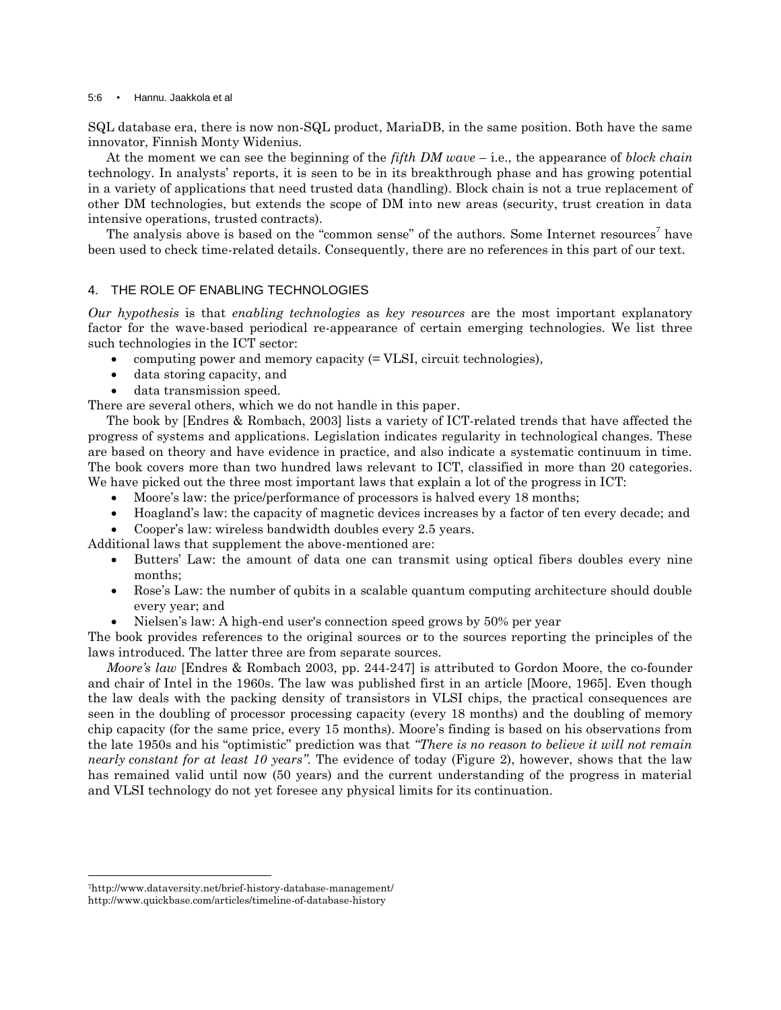#### 5:6 • Hannu. Jaakkola et al

SQL database era, there is now non-SQL product, MariaDB, in the same position. Both have the same innovator, Finnish Monty Widenius.

At the moment we can see the beginning of the *fifth DM wave* – i.e., the appearance of *block chain* technology. In analysts' reports, it is seen to be in its breakthrough phase and has growing potential in a variety of applications that need trusted data (handling). Block chain is not a true replacement of other DM technologies, but extends the scope of DM into new areas (security, trust creation in data intensive operations, trusted contracts).

The analysis above is based on the "common sense" of the authors. Some Internet resources<sup>7</sup> have been used to check time-related details. Consequently, there are no references in this part of our text.

## 4. THE ROLE OF ENABLING TECHNOLOGIES

*Our hypothesis* is that *enabling technologies* as *key resources* are the most important explanatory factor for the wave-based periodical re-appearance of certain emerging technologies. We list three such technologies in the ICT sector:

- computing power and memory capacity  $(= VLSI, circuit technologies),$
- data storing capacity, and
- data transmission speed.

There are several others, which we do not handle in this paper.

The book by [Endres & Rombach, 2003] lists a variety of ICT-related trends that have affected the progress of systems and applications. Legislation indicates regularity in technological changes. These are based on theory and have evidence in practice, and also indicate a systematic continuum in time. The book covers more than two hundred laws relevant to ICT, classified in more than 20 categories. We have picked out the three most important laws that explain a lot of the progress in ICT:

- Moore's law: the price/performance of processors is halved every 18 months;
- Hoagland's law: the capacity of magnetic devices increases by a factor of ten every decade; and
- Cooper's law: wireless bandwidth doubles every 2.5 years.

Additional laws that supplement the above-mentioned are:

- Butters' Law: the amount of data one can transmit using optical fibers doubles every nine months;
- Rose's Law: the number of qubits in a scalable quantum computing architecture should double every year; and
- Nielsen's law: A high-end user's connection speed grows by 50% per year

The book provides references to the original sources or to the sources reporting the principles of the laws introduced. The latter three are from separate sources.

*Moore's law* [Endres & Rombach 2003, pp. 244-247] is attributed to Gordon Moore, the co-founder and chair of Intel in the 1960s. The law was published first in an article [Moore, 1965]. Even though the law deals with the packing density of transistors in VLSI chips, the practical consequences are seen in the doubling of processor processing capacity (every 18 months) and the doubling of memory chip capacity (for the same price, every 15 months). Moore's finding is based on his observations from the late 1950s and his "optimistic" prediction was that *"There is no reason to believe it will not remain nearly constant for at least 10 years"*. The evidence of today (Figure 2), however, shows that the law has remained valid until now (50 years) and the current understanding of the progress in material and VLSI technology do not yet foresee any physical limits for its continuation.

<sup>7</sup>http://www.dataversity.net/brief-history-database-management/ http://www.quickbase.com/articles/timeline-of-database-history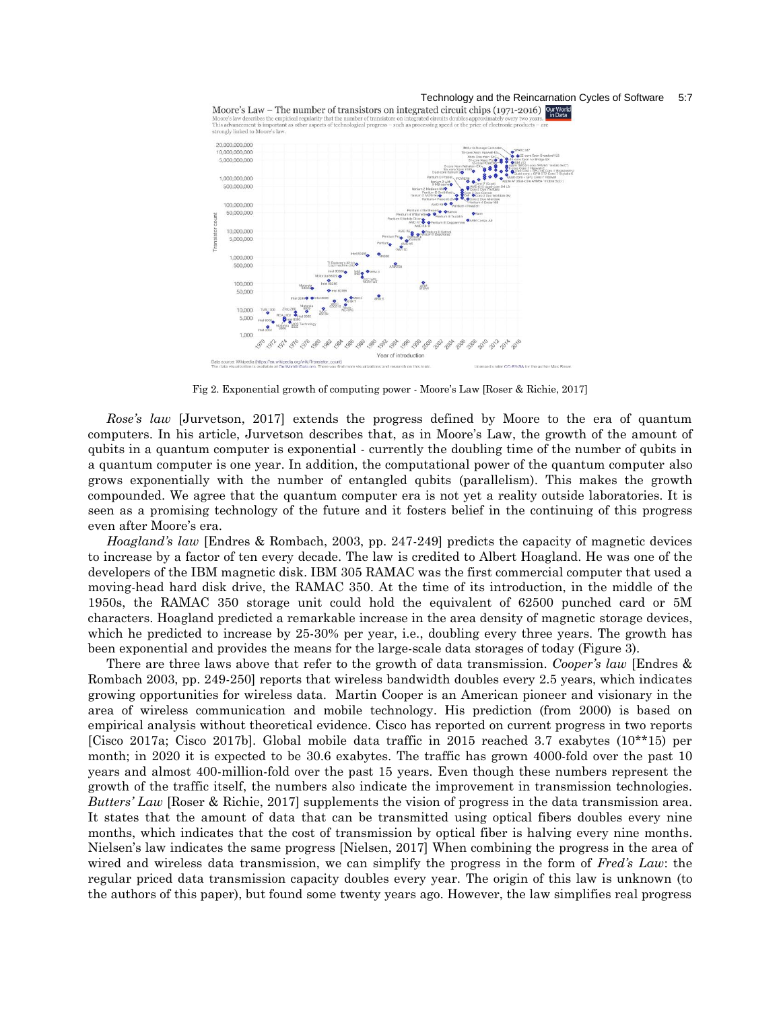



Fig 2. Exponential growth of computing power - Moore's Law [Roser & Richie, 2017]

*Rose's law* [Jurvetson, 2017] extends the progress defined by Moore to the era of quantum computers. In his article, Jurvetson describes that, as in Moore's Law, the growth of the amount of qubits in a quantum computer is exponential - currently the doubling time of the number of qubits in a quantum computer is one year. In addition, the computational power of the quantum computer also grows exponentially with the number of entangled qubits (parallelism). This makes the growth compounded. We agree that the quantum computer era is not yet a reality outside laboratories. It is seen as a promising technology of the future and it fosters belief in the continuing of this progress even after Moore's era.

*Hoagland's law* [Endres & Rombach, 2003, pp. 247-249] predicts the capacity of magnetic devices to increase by a factor of ten every decade. The law is credited to Albert Hoagland. He was one of the developers of the IBM magnetic disk. IBM 305 RAMAC was the first commercial computer that used a moving-head hard disk drive, the RAMAC 350. At the time of its introduction, in the middle of the 1950s, the RAMAC 350 storage unit could hold the equivalent of 62500 punched card or 5M characters. Hoagland predicted a remarkable increase in the area density of magnetic storage devices, which he predicted to increase by 25-30% per year, i.e., doubling every three years. The growth has been exponential and provides the means for the large-scale data storages of today (Figure 3).

There are three laws above that refer to the growth of data transmission. *Cooper's law* [Endres & Rombach 2003, pp. 249-250] reports that wireless bandwidth doubles every 2.5 years, which indicates growing opportunities for wireless data. Martin Cooper is an American pioneer and visionary in the area of wireless communication and mobile technology. His prediction (from 2000) is based on empirical analysis without theoretical evidence. Cisco has reported on current progress in two reports [Cisco 2017a; Cisco 2017b]. Global mobile data traffic in 2015 reached 3.7 exabytes (10\*\*15) per month; in 2020 it is expected to be 30.6 exabytes. The traffic has grown 4000-fold over the past 10 years and almost 400-million-fold over the past 15 years. Even though these numbers represent the growth of the traffic itself, the numbers also indicate the improvement in transmission technologies. *Butters' Law* [Roser & Richie, 2017] supplements the vision of progress in the data transmission area. It states that the amount of data that can be transmitted using optical fibers doubles every nine months, which indicates that the cost of transmission by optical fiber is halving every nine months. Nielsen's law indicates the same progress [Nielsen, 2017] When combining the progress in the area of wired and wireless data transmission, we can simplify the progress in the form of *Fred's Law*: the regular priced data transmission capacity doubles every year. The origin of this law is unknown (to the authors of this paper), but found some twenty years ago. However, the law simplifies real progress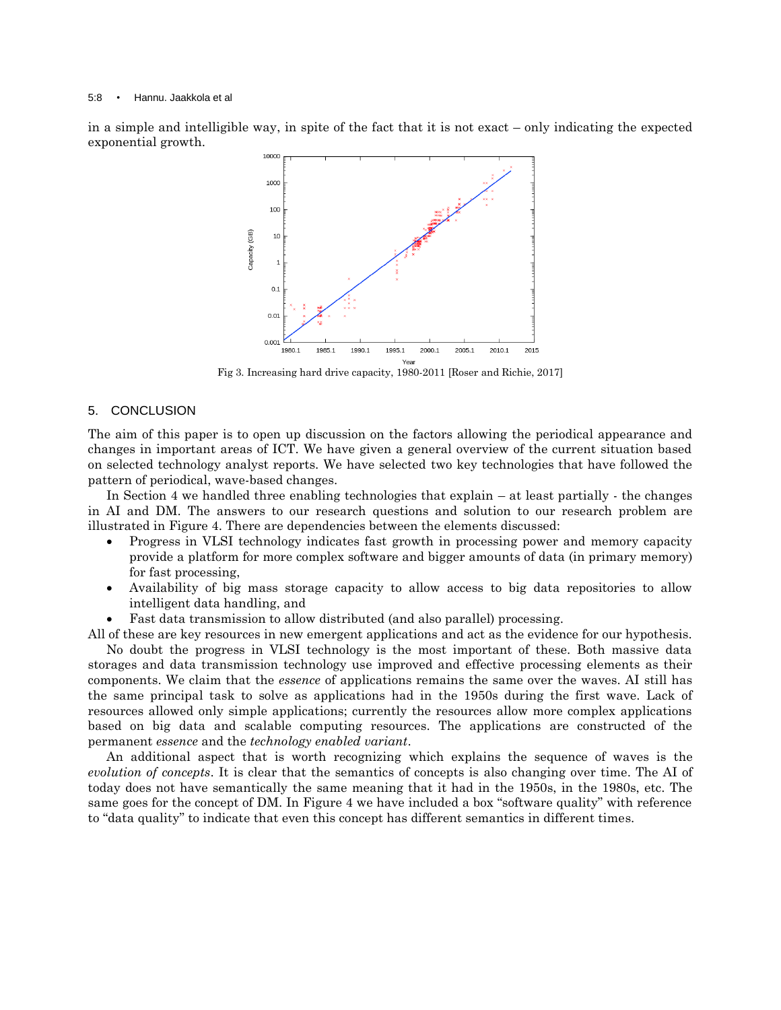in a simple and intelligible way, in spite of the fact that it is not exact – only indicating the expected exponential growth.



Fig 3. Increasing hard drive capacity, 1980-2011 [Roser and Richie, 2017]

## 5. CONCLUSION

The aim of this paper is to open up discussion on the factors allowing the periodical appearance and changes in important areas of ICT. We have given a general overview of the current situation based on selected technology analyst reports. We have selected two key technologies that have followed the pattern of periodical, wave-based changes.

In Section 4 we handled three enabling technologies that explain – at least partially - the changes in AI and DM. The answers to our research questions and solution to our research problem are illustrated in Figure 4. There are dependencies between the elements discussed:

- Progress in VLSI technology indicates fast growth in processing power and memory capacity provide a platform for more complex software and bigger amounts of data (in primary memory) for fast processing,
- Availability of big mass storage capacity to allow access to big data repositories to allow intelligent data handling, and
- Fast data transmission to allow distributed (and also parallel) processing.

All of these are key resources in new emergent applications and act as the evidence for our hypothesis. No doubt the progress in VLSI technology is the most important of these. Both massive data storages and data transmission technology use improved and effective processing elements as their components. We claim that the *essence* of applications remains the same over the waves. AI still has the same principal task to solve as applications had in the 1950s during the first wave. Lack of resources allowed only simple applications; currently the resources allow more complex applications

based on big data and scalable computing resources. The applications are constructed of the permanent *essence* and the *technology enabled variant*.

An additional aspect that is worth recognizing which explains the sequence of waves is the *evolution of concepts*. It is clear that the semantics of concepts is also changing over time. The AI of today does not have semantically the same meaning that it had in the 1950s, in the 1980s, etc. The same goes for the concept of DM. In Figure 4 we have included a box "software quality" with reference to "data quality" to indicate that even this concept has different semantics in different times.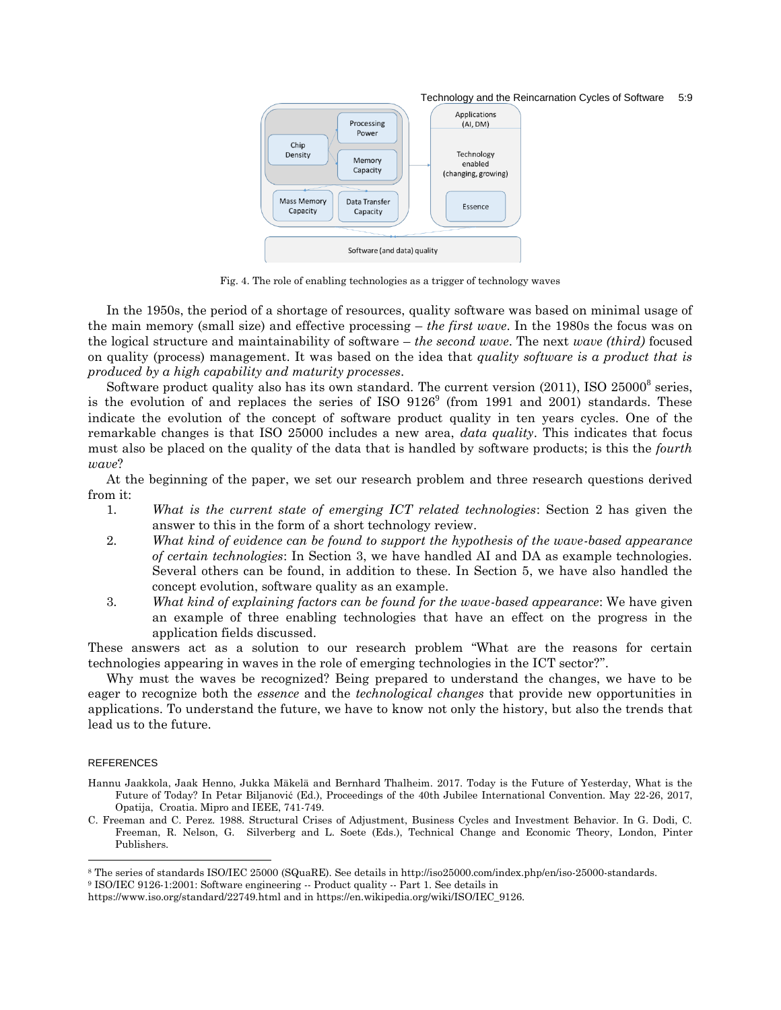#### Technology and the Reincarnation Cycles of Software 5:9



Fig. 4. The role of enabling technologies as a trigger of technology waves

In the 1950s, the period of a shortage of resources, quality software was based on minimal usage of the main memory (small size) and effective processing – *the first wave*. In the 1980s the focus was on the logical structure and maintainability of software – *the second wave*. The next *wave (third)* focused on quality (process) management. It was based on the idea that *quality software is a product that is produced by a high capability and maturity processes*.

Software product quality also has its own standard. The current version  $(2011)$ , ISO  $25000^8$  series, is the evolution of and replaces the series of ISO  $9126^{\circ}$  (from 1991 and 2001) standards. These indicate the evolution of the concept of software product quality in ten years cycles. One of the remarkable changes is that ISO 25000 includes a new area, *data quality*. This indicates that focus must also be placed on the quality of the data that is handled by software products; is this the *fourth wave*?

At the beginning of the paper, we set our research problem and three research questions derived from it:

- 1. *What is the current state of emerging ICT related technologies*: Section 2 has given the answer to this in the form of a short technology review.
- 2. *What kind of evidence can be found to support the hypothesis of the wave-based appearance of certain technologies*: In Section 3, we have handled AI and DA as example technologies. Several others can be found, in addition to these. In Section 5, we have also handled the concept evolution, software quality as an example.
- 3. *What kind of explaining factors can be found for the wave-based appearance*: We have given an example of three enabling technologies that have an effect on the progress in the application fields discussed.

These answers act as a solution to our research problem "What are the reasons for certain technologies appearing in waves in the role of emerging technologies in the ICT sector?".

Why must the waves be recognized? Being prepared to understand the changes, we have to be eager to recognize both the *essence* and the *technological changes* that provide new opportunities in applications. To understand the future, we have to know not only the history, but also the trends that lead us to the future.

#### REFERENCES

- Hannu Jaakkola, Jaak Henno, Jukka Mäkelä and Bernhard Thalheim. 2017. Today is the Future of Yesterday, What is the Future of Today? In Petar Biljanović (Ed.), Proceedings of the 40th Jubilee International Convention. May 22-26, 2017, Opatija, Croatia. Mipro and IEEE, 741-749.
- C. Freeman and C. Perez. 1988. Structural Crises of Adjustment, Business Cycles and Investment Behavior. In G. Dodi, C. Freeman, R. Nelson, G. Silverberg and L. Soete (Eds.), Technical Change and Economic Theory, London, Pinter Publishers.

<sup>8</sup> The series of standards ISO/IEC 25000 (SQuaRE). See details in http://iso25000.com/index.php/en/iso-25000-standards.

<sup>9</sup> ISO/IEC 9126-1:2001: Software engineering -- Product quality -- Part 1. See details in

https://www.iso.org/standard/22749.html and in https://en.wikipedia.org/wiki/ISO/IEC\_9126.